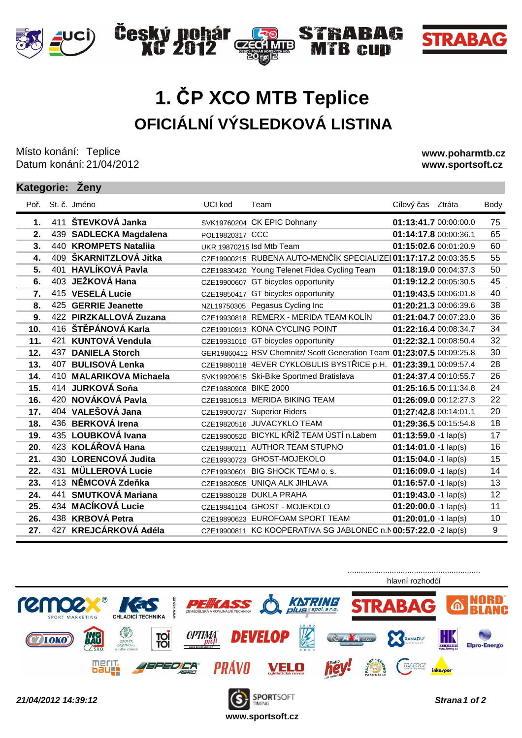

## **OFICIÁLNÍ VÝSLEDKOVÁ LISTINA 1. ČP XCO MTB Teplice**

C7E

4 MTB)

TRABAG

**R** cun

Český pohár<br>XC 2012

Místo konání: Teplice Datum konání: 21/04/2012

**www.poharmtb.cz www.sportsoft.cz**

**STRABAG** 

## **Kategorie: Ženy**

| Poř.            |     | St. č. Jméno            | <b>UCI kod</b>        | Team                                                                  | Cílový čas Ztráta       | Body |
|-----------------|-----|-------------------------|-----------------------|-----------------------------------------------------------------------|-------------------------|------|
| 1.              |     | 411 ŠTEVKOVÁ Janka      |                       | SVK19760204 CK EPIC Dohnany                                           | 01:13:41.7 00:00:00.0   | 75   |
| 2.              |     | 439 SADLECKA Magdalena  | POL19820317 CCC       |                                                                       | 01:14:17.8 00:00:36.1   | 65   |
| 3.              |     | 440 KROMPETS Nataliia   |                       | UKR 19870215 Isd Mtb Team                                             | 01:15:02.6 00:01:20.9   | 60   |
| 4.              |     | 409 ŠKARNITZLOVÁ Jitka  |                       | CZE19900215 RUBENA AUTO-MENČÍK SPECIALIZEI 01:17:17.2 00:03:35.5      |                         | 55   |
| 5.              | 401 | <b>HAVLÍKOVÁ Pavla</b>  |                       | CZE19830420 Young Telenet Fidea Cycling Team                          | 01:18:19.0 00:04:37.3   | 50   |
| 6.              |     | 403 JEŽKOVÁ Hana        |                       | CZE19900607 GT bicycles opportunity                                   | 01:19:12.2 00:05:30.5   | 45   |
| 7.              |     | 415 VESELÁ Lucie        |                       | CZE19850417 GT bicycles opportunity                                   | 01:19:43.5 00:06:01.8   | 40   |
| 8.              |     | 425 GERRIE Jeanette     |                       | NZL19750305 Pegasus Cycling Inc                                       | 01:20:21.3 00:06:39.6   | 38   |
| 9.              |     | 422 PIRZKALLOVÁ Zuzana  |                       | CZE19930818 REMERX - MERIDA TEAM KOLÍN                                | 01:21:04.7 00:07:23.0   | 36   |
| 10 <sub>1</sub> |     | 416 ŠTĚPÁNOVÁ Karla     |                       | CZE19910913 KONA CYCLING POINT                                        | 01:22:16.4 00:08:34.7   | 34   |
| 11.             |     | 421 KUNTOVÁ Vendula     |                       | CZE19931010 GT bicycles opportunity                                   | 01:22:32.1 00:08:50.4   | 32   |
| 12.             | 437 | <b>DANIELA Storch</b>   |                       | GER19860412 RSV Chemnitz/ Scott Generation Team 01:23:07.5 00:09:25.8 |                         | 30   |
| 13.             |     | 407 BULISOVÁ Lenka      |                       | CZE19880118 4EVER CYKLOBULIS BYSTŘICE p.H. 01:23:39.1 00:09:57.4      |                         | 28   |
| 14.             |     | 410 MALARIKOVA Michaela |                       | SVK19920615 Ski-Bike Sportmed Bratislava                              | 01:24:37.4 00:10:55.7   | 26   |
| 15.             |     | 414 JURKOVÁ Soňa        | CZE19880908 BIKE 2000 |                                                                       | 01:25:16.5 00:11:34.8   | 24   |
| 16.             |     | 420 NOVÁKOVÁ Pavla      |                       | CZE19810513 MERIDA BIKING TEAM                                        | 01:26:09.0 00:12:27.3   | 22   |
| 17.             |     | 404 VALEŠOVÁ Jana       |                       | CZE19900727 Superior Riders                                           | 01:27:42.8 00:14:01.1   | 20   |
| 18.             |     | 436 BERKOVÁ Irena       |                       | CZE19820516 JUVACYKLO TEAM                                            | 01:29:36.5 00:15:54.8   | 18   |
| 19.             |     | 435 LOUBKOVÁ Ivana      |                       | CZE19800520 BICYKL KŘÍŽ TEAM ÚSTÍ n.Labem                             | $01:13:59.0 - 1$ lap(s) | 17   |
| 20.             |     | 423 KOLÁŘOVÁ Hana       |                       | CZE19880211 AUTHOR TEAM STUPNO                                        | $01:14:01.0 - 1$ lap(s) | 16   |
| 21.             |     | 430 LORENCOVÁ Judita    |                       | CZE19930723 GHOST-MOJEKOLO                                            | $01:15:04.0 - 1$ lap(s) | 15   |
| 22.             | 431 | <b>MÜLLEROVÁ Lucie</b>  |                       | CZE19930601 BIG SHOCK TEAM o. s.                                      | $01:16:09.0 - 1$ lap(s) | 14   |
| 23.             |     | 413 NĚMCOVÁ Zdeňka      |                       | CZE19820505 UNIQA ALK JIHLAVA                                         | $01:16:57.0 - 1$ lap(s) | 13   |
| 24.             | 441 | <b>SMUTKOVÁ Mariana</b> |                       | CZE19880128 DUKLA PRAHA                                               | $01:19:43.0 - 1$ lap(s) | 12   |
| 25.             |     | 434 MACÍKOVÁ Lucie      |                       | CZE19841104 GHOST - MOJEKOLO                                          | $01:20:00.0 - 1$ lap(s) | 11   |
| 26.             |     | 438 KRBOVÁ Petra        |                       | CZE19890623 EUROFOAM SPORT TEAM                                       | $01:20:01.0 - 1$ lap(s) | 10   |
| 27.             |     | 427 KREJCÁRKOVÁ Adéla   |                       | CZE19900811 KC KOOPERATIVA SG JABLONEC n.N 00:57:22.0 -2 lap(s)       |                         | 9    |